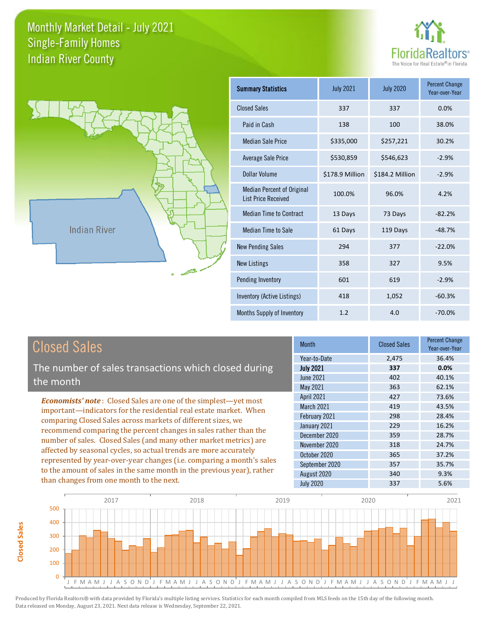



**Closed Sales**

**Closed Sales** 

| <b>Summary Statistics</b>                                       | <b>July 2021</b> | <b>July 2020</b> | <b>Percent Change</b><br>Year-over-Year |
|-----------------------------------------------------------------|------------------|------------------|-----------------------------------------|
| <b>Closed Sales</b>                                             | 337              | 337              | 0.0%                                    |
| Paid in Cash                                                    | 138              | 100              | 38.0%                                   |
| <b>Median Sale Price</b>                                        | \$335,000        | \$257,221        | 30.2%                                   |
| <b>Average Sale Price</b>                                       | \$530,859        | \$546,623        | $-2.9%$                                 |
| Dollar Volume                                                   | \$178.9 Million  | \$184.2 Million  | $-2.9%$                                 |
| <b>Median Percent of Original</b><br><b>List Price Received</b> | 100.0%           | 96.0%            | 4.2%                                    |
| <b>Median Time to Contract</b>                                  | 13 Days          | 73 Days          | $-82.2%$                                |
| <b>Median Time to Sale</b>                                      | 61 Days          | 119 Days         | $-48.7%$                                |
| <b>New Pending Sales</b>                                        | 294              | 377              | $-22.0%$                                |
| <b>New Listings</b>                                             | 358              | 327              | 9.5%                                    |
| Pending Inventory                                               | 601              | 619              | $-2.9%$                                 |
| Inventory (Active Listings)                                     | 418              | 1,052            | $-60.3%$                                |
| Months Supply of Inventory                                      | 1.2              | 4.0              | $-70.0%$                                |

| Year-to-Date<br>36.4%<br>2,475<br>The number of sales transactions which closed during<br><b>July 2021</b><br>337<br>0.0%<br>June 2021<br>40.1%<br>402<br>the month<br>May 2021<br>363<br>62.1%<br>April 2021<br>73.6%<br>427<br><b>Economists' note:</b> Closed Sales are one of the simplest—yet most<br><b>March 2021</b><br>43.5%<br>419<br>important—indicators for the residential real estate market. When<br>298<br>28.4%<br>February 2021<br>comparing Closed Sales across markets of different sizes, we<br>January 2021<br>229<br>16.2%<br>recommend comparing the percent changes in sales rather than the<br>December 2020<br>28.7%<br>359<br>number of sales. Closed Sales (and many other market metrics) are<br>24.7%<br>November 2020<br>318<br>affected by seasonal cycles, so actual trends are more accurately<br>October 2020<br>37.2%<br>365<br>represented by year-over-year changes (i.e. comparing a month's sales | <b>Closed Sales</b>                                                    | <b>Month</b>   | <b>Closed Sales</b> | <b>Percent Change</b><br>Year-over-Year |
|---------------------------------------------------------------------------------------------------------------------------------------------------------------------------------------------------------------------------------------------------------------------------------------------------------------------------------------------------------------------------------------------------------------------------------------------------------------------------------------------------------------------------------------------------------------------------------------------------------------------------------------------------------------------------------------------------------------------------------------------------------------------------------------------------------------------------------------------------------------------------------------------------------------------------------------------|------------------------------------------------------------------------|----------------|---------------------|-----------------------------------------|
|                                                                                                                                                                                                                                                                                                                                                                                                                                                                                                                                                                                                                                                                                                                                                                                                                                                                                                                                             |                                                                        |                |                     |                                         |
|                                                                                                                                                                                                                                                                                                                                                                                                                                                                                                                                                                                                                                                                                                                                                                                                                                                                                                                                             |                                                                        |                |                     |                                         |
|                                                                                                                                                                                                                                                                                                                                                                                                                                                                                                                                                                                                                                                                                                                                                                                                                                                                                                                                             |                                                                        |                |                     |                                         |
|                                                                                                                                                                                                                                                                                                                                                                                                                                                                                                                                                                                                                                                                                                                                                                                                                                                                                                                                             |                                                                        |                |                     |                                         |
|                                                                                                                                                                                                                                                                                                                                                                                                                                                                                                                                                                                                                                                                                                                                                                                                                                                                                                                                             |                                                                        |                |                     |                                         |
|                                                                                                                                                                                                                                                                                                                                                                                                                                                                                                                                                                                                                                                                                                                                                                                                                                                                                                                                             |                                                                        |                |                     |                                         |
|                                                                                                                                                                                                                                                                                                                                                                                                                                                                                                                                                                                                                                                                                                                                                                                                                                                                                                                                             |                                                                        |                |                     |                                         |
|                                                                                                                                                                                                                                                                                                                                                                                                                                                                                                                                                                                                                                                                                                                                                                                                                                                                                                                                             |                                                                        |                |                     |                                         |
|                                                                                                                                                                                                                                                                                                                                                                                                                                                                                                                                                                                                                                                                                                                                                                                                                                                                                                                                             | to the amount of sales in the same month in the previous year), rather |                |                     |                                         |
|                                                                                                                                                                                                                                                                                                                                                                                                                                                                                                                                                                                                                                                                                                                                                                                                                                                                                                                                             |                                                                        |                |                     |                                         |
|                                                                                                                                                                                                                                                                                                                                                                                                                                                                                                                                                                                                                                                                                                                                                                                                                                                                                                                                             |                                                                        |                |                     |                                         |
|                                                                                                                                                                                                                                                                                                                                                                                                                                                                                                                                                                                                                                                                                                                                                                                                                                                                                                                                             |                                                                        | September 2020 | 357                 | 35.7%                                   |
| 9.3%<br>August 2020<br>340                                                                                                                                                                                                                                                                                                                                                                                                                                                                                                                                                                                                                                                                                                                                                                                                                                                                                                                  |                                                                        |                |                     |                                         |
| than changes from one month to the next.<br><b>July 2020</b><br>337<br>5.6%                                                                                                                                                                                                                                                                                                                                                                                                                                                                                                                                                                                                                                                                                                                                                                                                                                                                 |                                                                        |                |                     |                                         |

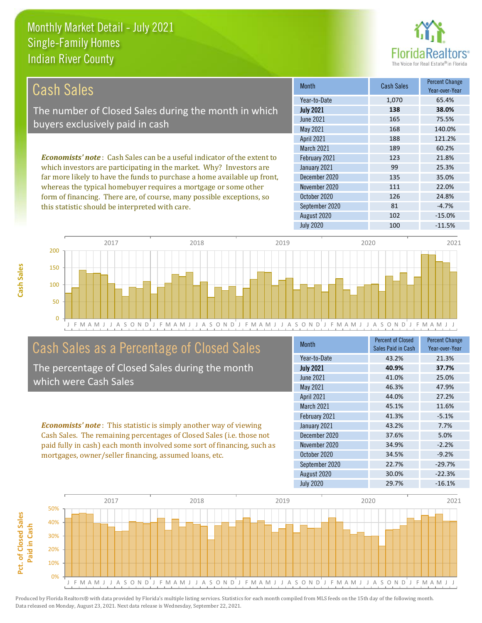this statistic should be interpreted with care.



81 -4.7%

| Cash Sales                                                                     | <b>Month</b>      | <b>Cash Sales</b> | <b>Percent Change</b><br>Year-over-Year |
|--------------------------------------------------------------------------------|-------------------|-------------------|-----------------------------------------|
|                                                                                | Year-to-Date      | 1,070             | 65.4%                                   |
| The number of Closed Sales during the month in which                           | <b>July 2021</b>  | 138               | 38.0%                                   |
| buyers exclusively paid in cash                                                | June 2021         | 165               | 75.5%                                   |
|                                                                                | May 2021          | 168               | 140.0%                                  |
|                                                                                | <b>April 2021</b> | 188               | 121.2%                                  |
|                                                                                | <b>March 2021</b> | 189               | 60.2%                                   |
| <b>Economists' note:</b> Cash Sales can be a useful indicator of the extent to | February 2021     | 123               | 21.8%                                   |
| which investors are participating in the market. Why? Investors are            | January 2021      | 99                | 25.3%                                   |
| far more likely to have the funds to purchase a home available up front,       | December 2020     | 135               | 35.0%                                   |
| whereas the typical homebuyer requires a mortgage or some other                | November 2020     | 111               | 22.0%                                   |
| form of financing. There are, of course, many possible exceptions, so          | October 2020      | 126               | 24.8%                                   |



## Cash Sales as a Percentage of Closed Sales

The percentage of Closed Sales during the month which were Cash Sales

*Economists' note* : This statistic is simply another way of viewing Cash Sales. The remaining percentages of Closed Sales (i.e. those not paid fully in cash) each month involved some sort of financing, such as mortgages, owner/seller financing, assumed loans, etc.

| Month             | <b>Percent of Closed</b><br>Sales Paid in Cash | <b>Percent Change</b><br>Year-over-Year |
|-------------------|------------------------------------------------|-----------------------------------------|
| Year-to-Date      | 43.2%                                          | 21.3%                                   |
| <b>July 2021</b>  | 40.9%                                          | 37.7%                                   |
| <b>June 2021</b>  | 41.0%                                          | 25.0%                                   |
| May 2021          | 46.3%                                          | 47.9%                                   |
| April 2021        | 44.0%                                          | 27.2%                                   |
| <b>March 2021</b> | 45.1%                                          | 11.6%                                   |
| February 2021     | 41.3%                                          | $-5.1%$                                 |
| January 2021      | 43.2%                                          | 7.7%                                    |
| December 2020     | 37.6%                                          | 5.0%                                    |
| November 2020     | 34.9%                                          | $-2.2%$                                 |
| October 2020      | 34.5%                                          | $-9.2%$                                 |
| September 2020    | 22.7%                                          | $-29.7%$                                |
| August 2020       | 30.0%                                          | $-22.3%$                                |
| <b>July 2020</b>  | 29.7%                                          | $-16.1%$                                |

August 2020 102 102 -15.0%

September 2020

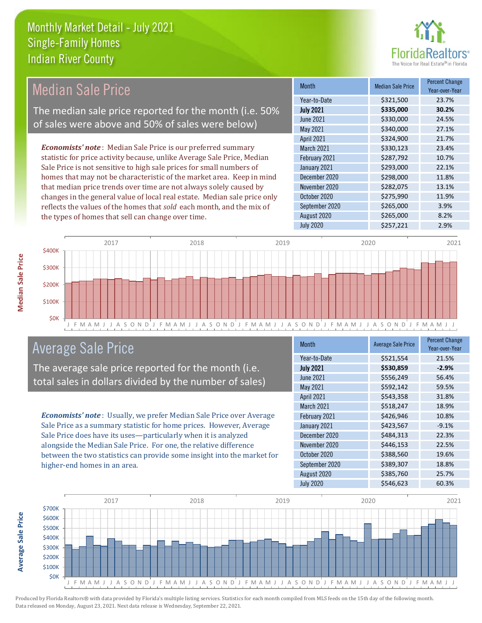

#### *Economists' note* : Median Sale Price is our preferred summary statistic for price activity because, unlike Average Sale Price, Median Sale Price is not sensitive to high sale prices for small numbers of homes that may not be characteristic of the market area. Keep in mind that median price trends over time are not always solely caused by changes in the general value of local real estate. Median sale price only reflects the values of the homes that *sold* each month, and the mix of the types of homes that sell can change over time. July 2020 \$257,221 2.9% September 2020 \$265,000 3.9% August 2020 \$265,000 8.2% November 2020 **\$282,075** 13.1% October 2020 **\$275,990** 11.9% \$324,900 21.7% March 2021 **\$330,123** 23.4% December 2020 \$298,000 11.8% June 2021 **\$330,000** 24.5% May 2021 **\$340,000** 27.1% February 2021 **\$287,792** 10.7% January 2021 **\$293,000** 22.1% April 2021 Month Median Sale Price Percent Change Year-over-Year July 2021 **\$335,000 30.2%** Year-to-Date \$321,500 23.7% Median Sale Price The median sale price reported for the month (i.e. 50% of sales were above and 50% of sales were below)



## Average Sale Price

The average sale price reported for the month (i.e. total sales in dollars divided by the number of sales)

*Economists' note* : Usually, we prefer Median Sale Price over Average Sale Price as a summary statistic for home prices. However, Average Sale Price does have its uses—particularly when it is analyzed alongside the Median Sale Price. For one, the relative difference between the two statistics can provide some insight into the market for higher-end homes in an area.

| <b>Month</b>     | <b>Average Sale Price</b> | <b>Percent Change</b><br>Year-over-Year |
|------------------|---------------------------|-----------------------------------------|
| Year-to-Date     | \$521,554                 | 21.5%                                   |
| <b>July 2021</b> | \$530,859                 | $-2.9%$                                 |
| <b>June 2021</b> | \$556,249                 | 56.4%                                   |
| May 2021         | \$592,142                 | 59.5%                                   |
| April 2021       | \$543,358                 | 31.8%                                   |
| March 2021       | \$518,247                 | 18.9%                                   |
| February 2021    | \$426,946                 | 10.8%                                   |
| January 2021     | \$423,567                 | $-9.1%$                                 |
| December 2020    | \$484,313                 | 22.3%                                   |
| November 2020    | \$446,153                 | 22.5%                                   |
| October 2020     | \$388,560                 | 19.6%                                   |
| September 2020   | \$389,307                 | 18.8%                                   |
| August 2020      | \$385,760                 | 25.7%                                   |
| <b>July 2020</b> | \$546,623                 | 60.3%                                   |



**Average Sale Price**

Average Sale Price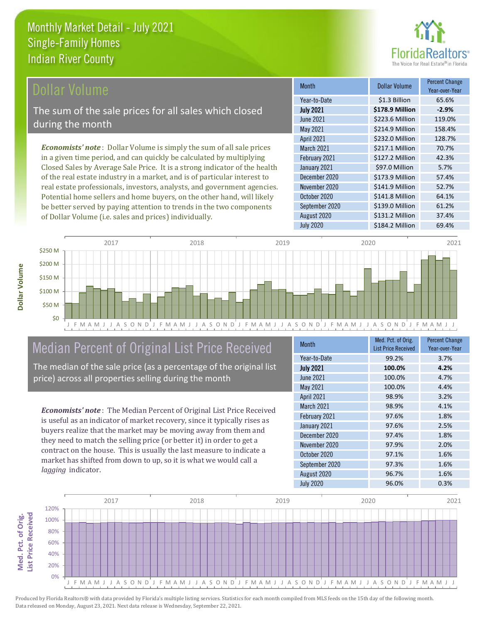

## **Ollar Volume**

The sum of the sale prices for all sales which closed during the month

*Economists' note* : Dollar Volume is simply the sum of all sale prices in a given time period, and can quickly be calculated by multiplying Closed Sales by Average Sale Price. It is a strong indicator of the health of the real estate industry in a market, and is of particular interest to real estate professionals, investors, analysts, and government agencies. Potential home sellers and home buyers, on the other hand, will likely be better served by paying attention to trends in the two components of Dollar Volume (i.e. sales and prices) individually.

| <b>Month</b>      | Dollar Volume   | <b>Percent Change</b><br>Year-over-Year |
|-------------------|-----------------|-----------------------------------------|
| Year-to-Date      | \$1.3 Billion   | 65.6%                                   |
| <b>July 2021</b>  | \$178.9 Million | $-2.9%$                                 |
| <b>June 2021</b>  | \$223.6 Million | 119.0%                                  |
| May 2021          | \$214.9 Million | 158.4%                                  |
| <b>April 2021</b> | \$232.0 Million | 128.7%                                  |
| March 2021        | \$217.1 Million | 70.7%                                   |
| February 2021     | \$127.2 Million | 42.3%                                   |
| January 2021      | \$97.0 Million  | 5.7%                                    |
| December 2020     | \$173.9 Million | 57.4%                                   |
| November 2020     | \$141.9 Million | 52.7%                                   |
| October 2020      | \$141.8 Million | 64.1%                                   |
| September 2020    | \$139.0 Million | 61.2%                                   |
| August 2020       | \$131.2 Million | 37.4%                                   |
| <b>July 2020</b>  | \$184.2 Million | 69.4%                                   |



# Median Percent of Original List Price Received

The median of the sale price (as a percentage of the original list price) across all properties selling during the month

*Economists' note* : The Median Percent of Original List Price Received is useful as an indicator of market recovery, since it typically rises as buyers realize that the market may be moving away from them and they need to match the selling price (or better it) in order to get a contract on the house. This is usually the last measure to indicate a market has shifted from down to up, so it is what we would call a *lagging* indicator.

| <b>Month</b>     | Med. Pct. of Orig.<br><b>List Price Received</b> | <b>Percent Change</b><br>Year-over-Year |
|------------------|--------------------------------------------------|-----------------------------------------|
| Year-to-Date     | 99.2%                                            | 3.7%                                    |
| <b>July 2021</b> | 100.0%                                           | 4.2%                                    |
| June 2021        | 100.0%                                           | 4.7%                                    |
| May 2021         | 100.0%                                           | 4.4%                                    |
| April 2021       | 98.9%                                            | 3.2%                                    |
| March 2021       | 98.9%                                            | 4.1%                                    |
| February 2021    | 97.6%                                            | 1.8%                                    |
| January 2021     | 97.6%                                            | 2.5%                                    |
| December 2020    | 97.4%                                            | 1.8%                                    |
| November 2020    | 97.9%                                            | 2.0%                                    |
| October 2020     | 97.1%                                            | 1.6%                                    |
| September 2020   | 97.3%                                            | 1.6%                                    |
| August 2020      | 96.7%                                            | 1.6%                                    |
| <b>July 2020</b> | 96.0%                                            | 0.3%                                    |



**Med. Pct. of Orig.** 

Med. Pct. of Orig.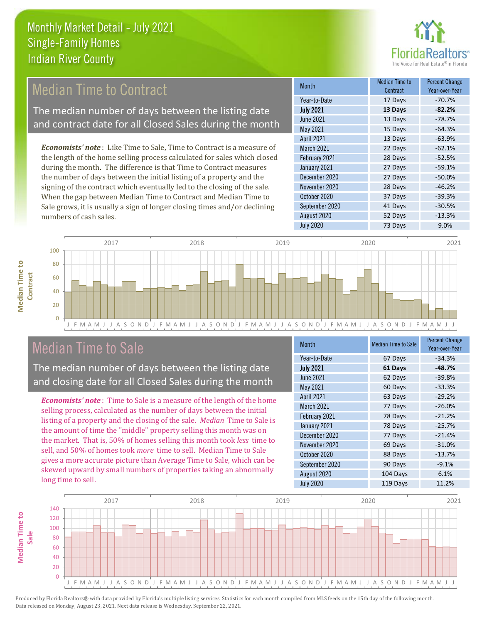

# **Median Time to Contract**

The median number of days between the listing date and contract date for all Closed Sales during the month

*Economists' note* : Like Time to Sale, Time to Contract is a measure of the length of the home selling process calculated for sales which closed during the month. The difference is that Time to Contract measures the number of days between the initial listing of a property and the signing of the contract which eventually led to the closing of the sale. When the gap between Median Time to Contract and Median Time to Sale grows, it is usually a sign of longer closing times and/or declining numbers of cash sales.

| <b>Month</b>      | Median Time to<br>Contract | <b>Percent Change</b><br>Year-over-Year |
|-------------------|----------------------------|-----------------------------------------|
| Year-to-Date      | 17 Days                    | $-70.7%$                                |
| <b>July 2021</b>  | 13 Days                    | $-82.2%$                                |
| <b>June 2021</b>  | 13 Days                    | $-78.7%$                                |
| May 2021          | 15 Days                    | $-64.3%$                                |
| <b>April 2021</b> | 13 Days                    | $-63.9%$                                |
| <b>March 2021</b> | 22 Days                    | $-62.1%$                                |
| February 2021     | 28 Days                    | $-52.5%$                                |
| January 2021      | 27 Days                    | $-59.1%$                                |
| December 2020     | 27 Days                    | $-50.0%$                                |
| November 2020     | 28 Days                    | $-46.2%$                                |
| October 2020      | 37 Days                    | $-39.3%$                                |
| September 2020    | 41 Days                    | $-30.5%$                                |
| August 2020       | 52 Days                    | $-13.3%$                                |
| <b>July 2020</b>  | 73 Days                    | 9.0%                                    |



## Median Time to Sale

**Median Time to Contract**

**Median Time to** 

The median number of days between the listing date and closing date for all Closed Sales during the month

*Economists' note* : Time to Sale is a measure of the length of the home selling process, calculated as the number of days between the initial listing of a property and the closing of the sale. *Median* Time to Sale is the amount of time the "middle" property selling this month was on the market. That is, 50% of homes selling this month took *less* time to sell, and 50% of homes took *more* time to sell. Median Time to Sale gives a more accurate picture than Average Time to Sale, which can be skewed upward by small numbers of properties taking an abnormally long time to sell.

| <b>Month</b>      | <b>Median Time to Sale</b> | <b>Percent Change</b><br>Year-over-Year |
|-------------------|----------------------------|-----------------------------------------|
| Year-to-Date      | 67 Days                    | $-34.3%$                                |
| <b>July 2021</b>  | 61 Days                    | $-48.7%$                                |
| <b>June 2021</b>  | 62 Days                    | $-39.8%$                                |
| May 2021          | 60 Days                    | $-33.3%$                                |
| April 2021        | 63 Days                    | $-29.2%$                                |
| <b>March 2021</b> | 77 Days                    | $-26.0%$                                |
| February 2021     | 78 Days                    | $-21.2%$                                |
| January 2021      | 78 Days                    | $-25.7%$                                |
| December 2020     | 77 Days                    | $-21.4%$                                |
| November 2020     | 69 Days                    | $-31.0%$                                |
| October 2020      | 88 Days                    | $-13.7%$                                |
| September 2020    | 90 Days                    | $-9.1%$                                 |
| August 2020       | 104 Days                   | 6.1%                                    |
| <b>July 2020</b>  | 119 Days                   | 11.2%                                   |

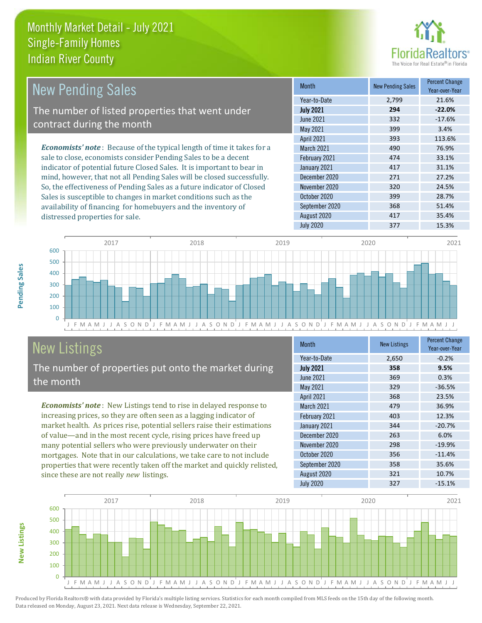distressed properties for sale.



| <b>New Pending Sales</b>                                                       | <b>Month</b>      | <b>New Pending Sales</b> | <b>Percent Change</b><br>Year-over-Year |
|--------------------------------------------------------------------------------|-------------------|--------------------------|-----------------------------------------|
|                                                                                | Year-to-Date      | 2,799                    | 21.6%                                   |
| The number of listed properties that went under                                | <b>July 2021</b>  | 294                      | $-22.0%$                                |
| contract during the month                                                      | June 2021         | 332                      | $-17.6%$                                |
|                                                                                | May 2021          | 399                      | 3.4%                                    |
|                                                                                | <b>April 2021</b> | 393                      | 113.6%                                  |
| <b>Economists' note</b> : Because of the typical length of time it takes for a | <b>March 2021</b> | 490                      | 76.9%                                   |
| sale to close, economists consider Pending Sales to be a decent                | February 2021     | 474                      | 33.1%                                   |
| indicator of potential future Closed Sales. It is important to bear in         | January 2021      | 417                      | 31.1%                                   |
| mind, however, that not all Pending Sales will be closed successfully.         | December 2020     | 271                      | 27.2%                                   |
| So, the effectiveness of Pending Sales as a future indicator of Closed         | November 2020     | 320                      | 24.5%                                   |
| Sales is susceptible to changes in market conditions such as the               | October 2020      | 399                      | 28.7%                                   |



# New Listings

The number of properties put onto the market during the month

availability of financing for homebuyers and the inventory of

*Economists' note* : New Listings tend to rise in delayed response to increasing prices, so they are often seen as a lagging indicator of market health. As prices rise, potential sellers raise their estimations of value—and in the most recent cycle, rising prices have freed up many potential sellers who were previously underwater on their mortgages. Note that in our calculations, we take care to not include properties that were recently taken off the market and quickly relisted, since these are not really *new* listings.

| <b>Month</b>      | <b>New Listings</b> | <b>Percent Change</b><br>Year-over-Year |
|-------------------|---------------------|-----------------------------------------|
| Year-to-Date      | 2,650               | $-0.2%$                                 |
| <b>July 2021</b>  | 358                 | 9.5%                                    |
| <b>June 2021</b>  | 369                 | 0.3%                                    |
| May 2021          | 329                 | $-36.5%$                                |
| April 2021        | 368                 | 23.5%                                   |
| <b>March 2021</b> | 479                 | 36.9%                                   |
| February 2021     | 403                 | 12.3%                                   |
| January 2021      | 344                 | $-20.7%$                                |
| December 2020     | 263                 | 6.0%                                    |
| November 2020     | 298                 | $-19.9%$                                |
| October 2020      | 356                 | $-11.4%$                                |
| September 2020    | 358                 | 35.6%                                   |
| August 2020       | 321                 | 10.7%                                   |
| <b>July 2020</b>  | 327                 | $-15.1%$                                |

September 2020 368 51.4% August 2020 **417** 417 35.4%



Produced by Florida Realtors® with data provided by Florida's multiple listing services. Statistics for each month compiled from MLS feeds on the 15th day of the following month. Data released on Monday, August 23, 2021. Next data release is Wednesday, September 22, 2021.

**New Listings**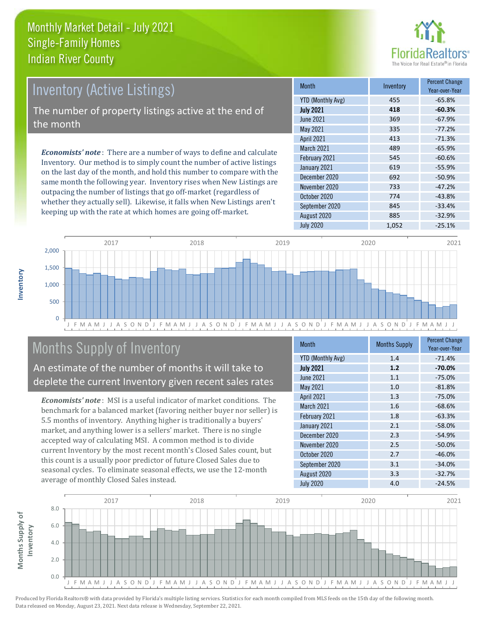

## Inventory (Active Listings)

The number of property listings active at the end of the month

*Economists' note* : There are a number of ways to define and calculate Inventory. Our method is to simply count the number of active listings on the last day of the month, and hold this number to compare with the same month the following year. Inventory rises when New Listings are outpacing the number of listings that go off-market (regardless of whether they actually sell). Likewise, it falls when New Listings aren't keeping up with the rate at which homes are going off-market.

| <b>Month</b>             | Inventory | <b>Percent Change</b><br>Year-over-Year |
|--------------------------|-----------|-----------------------------------------|
| <b>YTD (Monthly Avg)</b> | 455       | $-65.8%$                                |
| <b>July 2021</b>         | 418       | $-60.3%$                                |
| <b>June 2021</b>         | 369       | $-67.9%$                                |
| May 2021                 | 335       | $-77.2%$                                |
| April 2021               | 413       | $-71.3%$                                |
| March 2021               | 489       | $-65.9%$                                |
| February 2021            | 545       | $-60.6%$                                |
| January 2021             | 619       | $-55.9%$                                |
| December 2020            | 692       | $-50.9%$                                |
| November 2020            | 733       | $-47.2%$                                |
| October 2020             | 774       | $-43.8%$                                |
| September 2020           | 845       | $-33.4%$                                |
| August 2020              | 885       | $-32.9%$                                |
| <b>July 2020</b>         | 1,052     | $-25.1%$                                |



# Months Supply of Inventory

An estimate of the number of months it will take to deplete the current Inventory given recent sales rates

*Economists' note* : MSI is a useful indicator of market conditions. The benchmark for a balanced market (favoring neither buyer nor seller) is 5.5 months of inventory. Anything higher is traditionally a buyers' market, and anything lower is a sellers' market. There is no single accepted way of calculating MSI. A common method is to divide current Inventory by the most recent month's Closed Sales count, but this count is a usually poor predictor of future Closed Sales due to seasonal cycles. To eliminate seasonal effects, we use the 12-month average of monthly Closed Sales instead.

| <b>Month</b>             | <b>Months Supply</b> | <b>Percent Change</b><br>Year-over-Year |
|--------------------------|----------------------|-----------------------------------------|
| <b>YTD (Monthly Avg)</b> | 1.4                  | $-71.4%$                                |
| <b>July 2021</b>         | 1.2                  | $-70.0%$                                |
| June 2021                | 1.1                  | $-75.0%$                                |
| May 2021                 | 1.0                  | $-81.8%$                                |
| <b>April 2021</b>        | 1.3                  | $-75.0%$                                |
| March 2021               | 1.6                  | $-68.6%$                                |
| February 2021            | 1.8                  | $-63.3%$                                |
| January 2021             | 2.1                  | $-58.0%$                                |
| December 2020            | 2.3                  | $-54.9%$                                |
| November 2020            | 2.5                  | $-50.0%$                                |
| October 2020             | 2.7                  | $-46.0%$                                |
| September 2020           | 3.1                  | $-34.0%$                                |
| August 2020              | 3.3                  | $-32.7%$                                |
| <b>July 2020</b>         | 4.0                  | $-24.5%$                                |

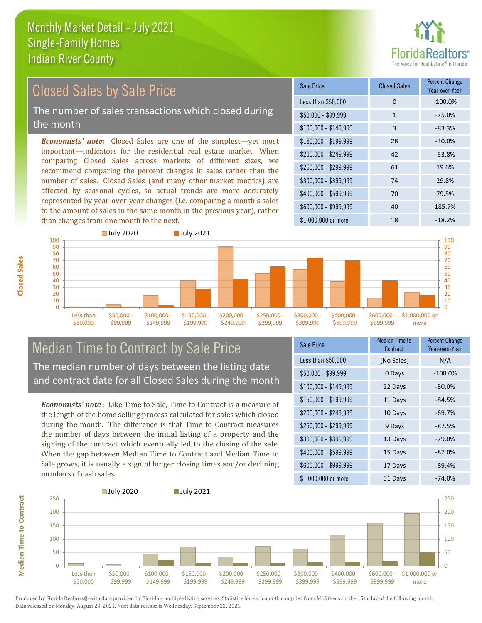than changes from one month to the next.



#### $$100,000 - $149,999$  3 -83.3% Sale Price Closed Sales Percent Change Year-over-Year Less than \$50,000 0 0 -100.0%  $$50.000 - $99.999$  1 -75.0% \$150,000 - \$199,999 28 -30.0% \$200,000 - \$249,999 42 -53.8% \$400,000 - \$599,999 70 79.5% \$600,000 - \$999,999 40 185.7% *Economists' note:* Closed Sales are one of the simplest—yet most important—indicators for the residential real estate market. When comparing Closed Sales across markets of different sizes, we recommend comparing the percent changes in sales rather than the number of sales. Closed Sales (and many other market metrics) are affected by seasonal cycles, so actual trends are more accurately represented by year-over-year changes (i.e. comparing a month's sales \$250,000 - \$299,999 61 19.6% \$300,000 - \$399,999 74 29.8% Closed Sales by Sale Price The number of sales transactions which closed during the month



## Median Time to Contract by Sale Price The median number of days between the listing date and contract date for all Closed Sales during the month

to the amount of sales in the same month in the previous year), rather

*Economists' note* : Like Time to Sale, Time to Contract is a measure of the length of the home selling process calculated for sales which closed during the month. The difference is that Time to Contract measures the number of days between the initial listing of a property and the signing of the contract which eventually led to the closing of the sale. When the gap between Median Time to Contract and Median Time to Sale grows, it is usually a sign of longer closing times and/or declining numbers of cash sales.

| <b>Sale Price</b>     | Median Time to<br>Contract | Percent Change<br>Year-over-Year |
|-----------------------|----------------------------|----------------------------------|
| Less than \$50,000    | (No Sales)                 | N/A                              |
| $$50,000 - $99,999$   | 0 Days                     | $-100.0%$                        |
| $$100,000 - $149,999$ | 22 Days                    | $-50.0%$                         |
| $$150,000 - $199,999$ | 11 Days                    | $-84.5%$                         |
| \$200,000 - \$249,999 | 10 Days                    | $-69.7%$                         |
| \$250,000 - \$299,999 | 9 Days                     | $-87.5%$                         |
| \$300,000 - \$399,999 | 13 Days                    | $-79.0%$                         |
| \$400,000 - \$599,999 | 15 Days                    | $-87.0%$                         |
| \$600,000 - \$999,999 | 17 Days                    | $-89.4%$                         |
| \$1,000,000 or more   | 51 Days                    | $-74.0%$                         |

\$1,000,000 or more 18 18 -18.2%



**Closed Sales**

**Median Time to Contract Median Time to Contract**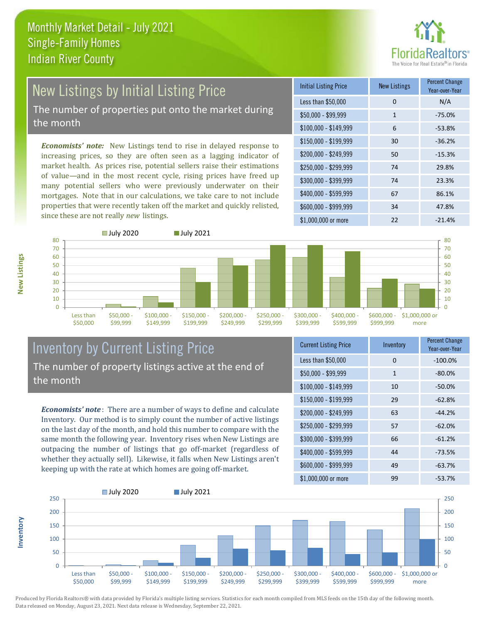

## New Listings by Initial Listing Price The number of properties put onto the market during

the month

*Economists' note:* New Listings tend to rise in delayed response to increasing prices, so they are often seen as a lagging indicator of market health. As prices rise, potential sellers raise their estimations of value—and in the most recent cycle, rising prices have freed up many potential sellers who were previously underwater on their mortgages. Note that in our calculations, we take care to not include properties that were recently taken off the market and quickly relisted, since these are not really *new* listings.

| <b>Initial Listing Price</b> | <b>New Listings</b> | <b>Percent Change</b><br>Year-over-Year |
|------------------------------|---------------------|-----------------------------------------|
| Less than \$50,000           | 0                   | N/A                                     |
| $$50,000 - $99,999$          | $\mathbf{1}$        | $-75.0%$                                |
| $$100,000 - $149,999$        | 6                   | $-53.8%$                                |
| $$150,000 - $199,999$        | 30                  | $-36.2%$                                |
| \$200,000 - \$249,999        | 50                  | $-15.3%$                                |
| \$250,000 - \$299,999        | 74                  | 29.8%                                   |
| \$300,000 - \$399,999        | 74                  | 23.3%                                   |
| \$400,000 - \$599,999        | 67                  | 86.1%                                   |
| \$600,000 - \$999,999        | 34                  | 47.8%                                   |
| \$1,000,000 or more          | 22                  | $-21.4%$                                |



## Inventory by Current Listing Price The number of property listings active at the end of the month

*Economists' note* : There are a number of ways to define and calculate Inventory. Our method is to simply count the number of active listings on the last day of the month, and hold this number to compare with the same month the following year. Inventory rises when New Listings are outpacing the number of listings that go off-market (regardless of whether they actually sell). Likewise, it falls when New Listings aren't keeping up with the rate at which homes are going off-market.

| <b>Current Listing Price</b> | Inventory | <b>Percent Change</b><br>Year-over-Year |
|------------------------------|-----------|-----------------------------------------|
| Less than \$50,000           | 0         | $-100.0%$                               |
| $$50,000 - $99,999$          | 1         | $-80.0%$                                |
| $$100,000 - $149,999$        | 10        | $-50.0%$                                |
| $$150,000 - $199,999$        | 29        | $-62.8%$                                |
| \$200,000 - \$249,999        | 63        | $-44.2%$                                |
| \$250,000 - \$299,999        | 57        | $-62.0%$                                |
| \$300,000 - \$399,999        | 66        | $-61.2%$                                |
| \$400,000 - \$599,999        | 44        | $-73.5%$                                |
| \$600,000 - \$999,999        | 49        | $-63.7%$                                |
| \$1,000,000 or more          | 99        | $-53.7%$                                |



Produced by Florida Realtors® with data provided by Florida's multiple listing services. Statistics for each month compiled from MLS feeds on the 15th day of the following month. Data released on Monday, August 23, 2021. Next data release is Wednesday, September 22, 2021.

**Inventory**